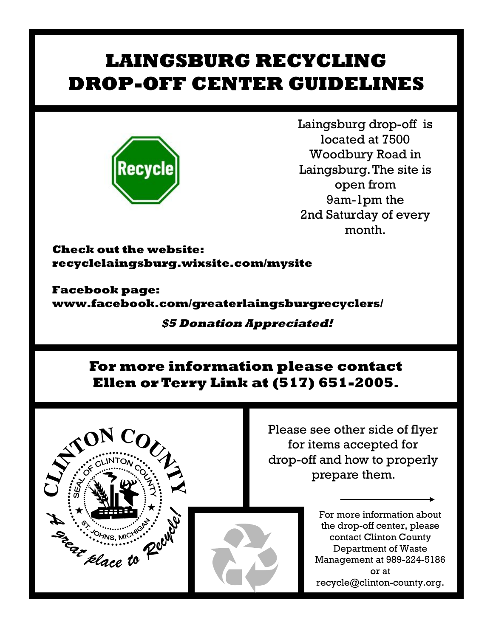# **LAINGSBURG RECYCLING DROP-OFF CENTER GUIDELINES**



Laingsburg drop-off is located at 7500 Woodbury Road in Laingsburg. The site is open from 9am-1pm the 2nd Saturday of every month.

**Check out the website: recyclelaingsburg.wixsite.com/mysite**

**Facebook page: www.facebook.com/greaterlaingsburgrecyclers/**

### **\$5 Donation Appreciated!**

## **For more information please contact Ellen or Terry Link at (517) 651-2005.**



Please see other side of flyer for items accepted for drop-off and how to properly prepare them.

> For more information about the drop-off center, please contact Clinton County Department of Waste Management at 989-224-5186 or at recycle@clinton-county.org.